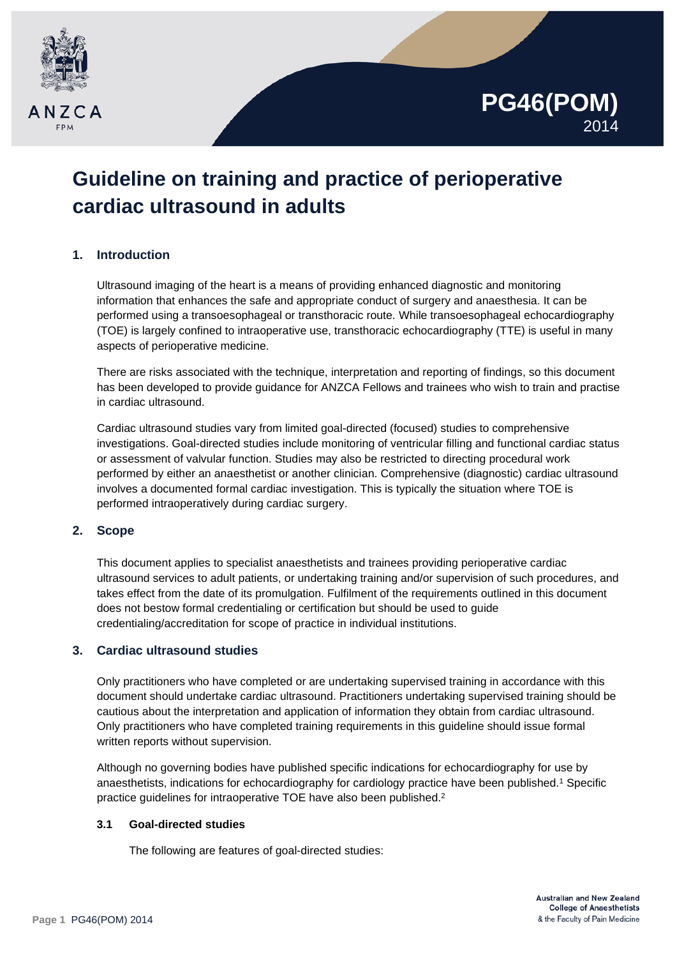

## **PG46(POM)** 2014

# **Guideline on training and practice of perioperative cardiac ultrasound in adults**

## **1. Introduction**

Ultrasound imaging of the heart is a means of providing enhanced diagnostic and monitoring information that enhances the safe and appropriate conduct of surgery and anaesthesia. It can be performed using a transoesophageal or transthoracic route. While transoesophageal echocardiography (TOE) is largely confined to intraoperative use, transthoracic echocardiography (TTE) is useful in many aspects of perioperative medicine.

There are risks associated with the technique, interpretation and reporting of findings, so this document has been developed to provide guidance for ANZCA Fellows and trainees who wish to train and practise in cardiac ultrasound.

Cardiac ultrasound studies vary from limited goal-directed (focused) studies to comprehensive investigations. Goal-directed studies include monitoring of ventricular filling and functional cardiac status or assessment of valvular function. Studies may also be restricted to directing procedural work performed by either an anaesthetist or another clinician. Comprehensive (diagnostic) cardiac ultrasound involves a documented formal cardiac investigation. This is typically the situation where TOE is performed intraoperatively during cardiac surgery.

## **2. Scope**

This document applies to specialist anaesthetists and trainees providing perioperative cardiac ultrasound services to adult patients, or undertaking training and/or supervision of such procedures, and takes effect from the date of its promulgation. Fulfilment of the requirements outlined in this document does not bestow formal credentialing or certification but should be used to guide credentialing/accreditation for scope of practice in individual institutions.

## **3. Cardiac ultrasound studies**

Only practitioners who have completed or are undertaking supervised training in accordance with this document should undertake cardiac ultrasound. Practitioners undertaking supervised training should be cautious about the interpretation and application of information they obtain from cardiac ultrasound. Only practitioners who have completed training requirements in this guideline should issue formal written reports without supervision.

Although no governing bodies have published specific indications for echocardiography for use by anaesthetists, indications for echocardiography for cardiology practice have been published.1 Specific practice guidelines for intraoperative TOE have also been published.<sup>2</sup>

## **3.1 Goal-directed studies**

The following are features of goal-directed studies: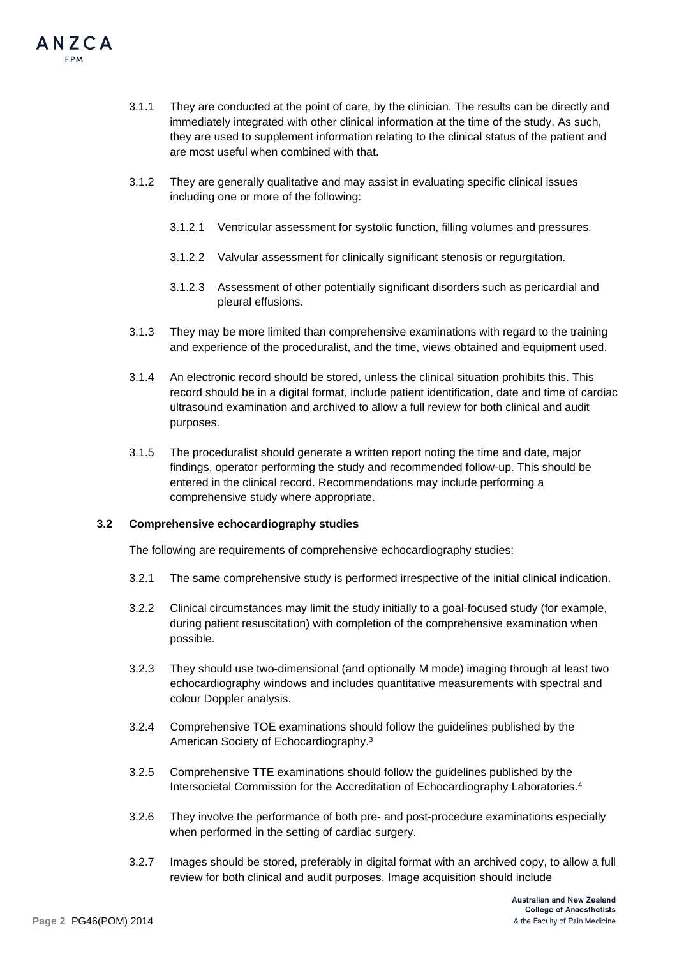

- 3.1.1 They are conducted at the point of care, by the clinician. The results can be directly and immediately integrated with other clinical information at the time of the study. As such, they are used to supplement information relating to the clinical status of the patient and are most useful when combined with that.
- 3.1.2 They are generally qualitative and may assist in evaluating specific clinical issues including one or more of the following:
	- 3.1.2.1 Ventricular assessment for systolic function, filling volumes and pressures.
	- 3.1.2.2 Valvular assessment for clinically significant stenosis or regurgitation.
	- 3.1.2.3 Assessment of other potentially significant disorders such as pericardial and pleural effusions.
- 3.1.3 They may be more limited than comprehensive examinations with regard to the training and experience of the proceduralist, and the time, views obtained and equipment used.
- 3.1.4 An electronic record should be stored, unless the clinical situation prohibits this. This record should be in a digital format, include patient identification, date and time of cardiac ultrasound examination and archived to allow a full review for both clinical and audit purposes.
- 3.1.5 The proceduralist should generate a written report noting the time and date, major findings, operator performing the study and recommended follow-up. This should be entered in the clinical record. Recommendations may include performing a comprehensive study where appropriate.

## **3.2 Comprehensive echocardiography studies**

The following are requirements of comprehensive echocardiography studies:

- 3.2.1 The same comprehensive study is performed irrespective of the initial clinical indication.
- 3.2.2 Clinical circumstances may limit the study initially to a goal-focused study (for example, during patient resuscitation) with completion of the comprehensive examination when possible.
- 3.2.3 They should use two-dimensional (and optionally M mode) imaging through at least two echocardiography windows and includes quantitative measurements with spectral and colour Doppler analysis.
- 3.2.4 Comprehensive TOE examinations should follow the guidelines published by the American Society of Echocardiography.3
- 3.2.5 Comprehensive TTE examinations should follow the guidelines published by the Intersocietal Commission for the Accreditation of Echocardiography Laboratories.4
- 3.2.6 They involve the performance of both pre- and post-procedure examinations especially when performed in the setting of cardiac surgery.
- 3.2.7 Images should be stored, preferably in digital format with an archived copy, to allow a full review for both clinical and audit purposes. Image acquisition should include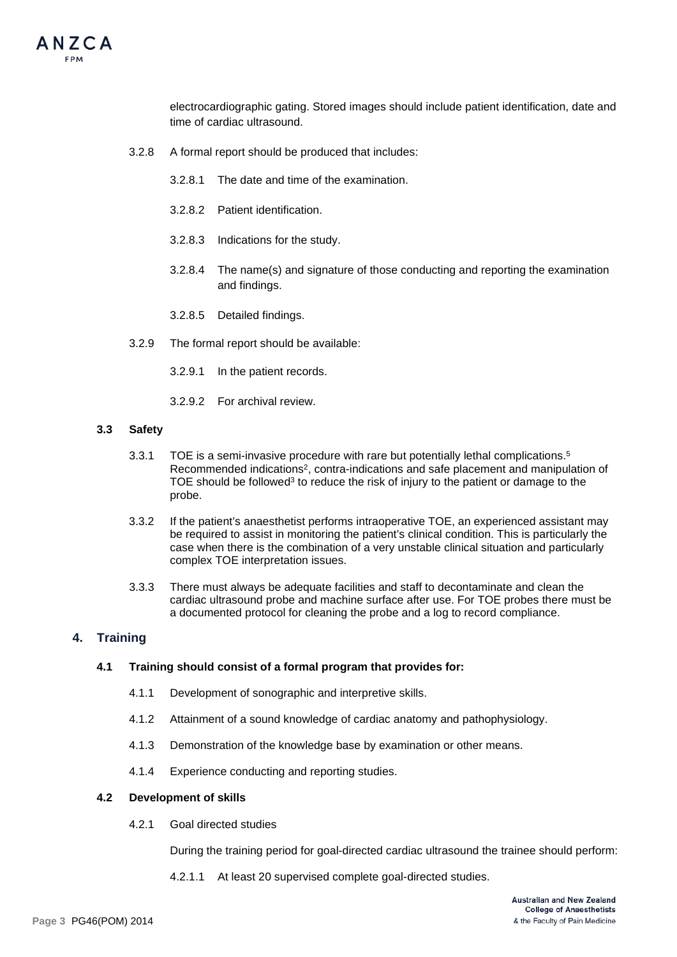

electrocardiographic gating. Stored images should include patient identification, date and time of cardiac ultrasound.

- 3.2.8 A formal report should be produced that includes:
	- 3.2.8.1 The date and time of the examination.
	- 3.2.8.2 Patient identification.
	- 3.2.8.3 Indications for the study.
	- 3.2.8.4 The name(s) and signature of those conducting and reporting the examination and findings.
	- 3.2.8.5 Detailed findings.
- 3.2.9 The formal report should be available:
	- 3.2.9.1 In the patient records.
	- 3.2.9.2 For archival review.

#### **3.3 Safety**

- 3.3.1 TOE is a semi-invasive procedure with rare but potentially lethal complications.5 Recommended indications2, contra-indications and safe placement and manipulation of TOE should be followed<sup>3</sup> to reduce the risk of injury to the patient or damage to the probe.
- 3.3.2 If the patient's anaesthetist performs intraoperative TOE, an experienced assistant may be required to assist in monitoring the patient's clinical condition. This is particularly the case when there is the combination of a very unstable clinical situation and particularly complex TOE interpretation issues.
- 3.3.3 There must always be adequate facilities and staff to decontaminate and clean the cardiac ultrasound probe and machine surface after use. For TOE probes there must be a documented protocol for cleaning the probe and a log to record compliance.

#### **4. Training**

#### **4.1 Training should consist of a formal program that provides for:**

- 4.1.1 Development of sonographic and interpretive skills.
- 4.1.2 Attainment of a sound knowledge of cardiac anatomy and pathophysiology.
- 4.1.3 Demonstration of the knowledge base by examination or other means.
- 4.1.4 Experience conducting and reporting studies.

#### **4.2 Development of skills**

4.2.1 Goal directed studies

During the training period for goal-directed cardiac ultrasound the trainee should perform:

4.2.1.1 At least 20 supervised complete goal-directed studies.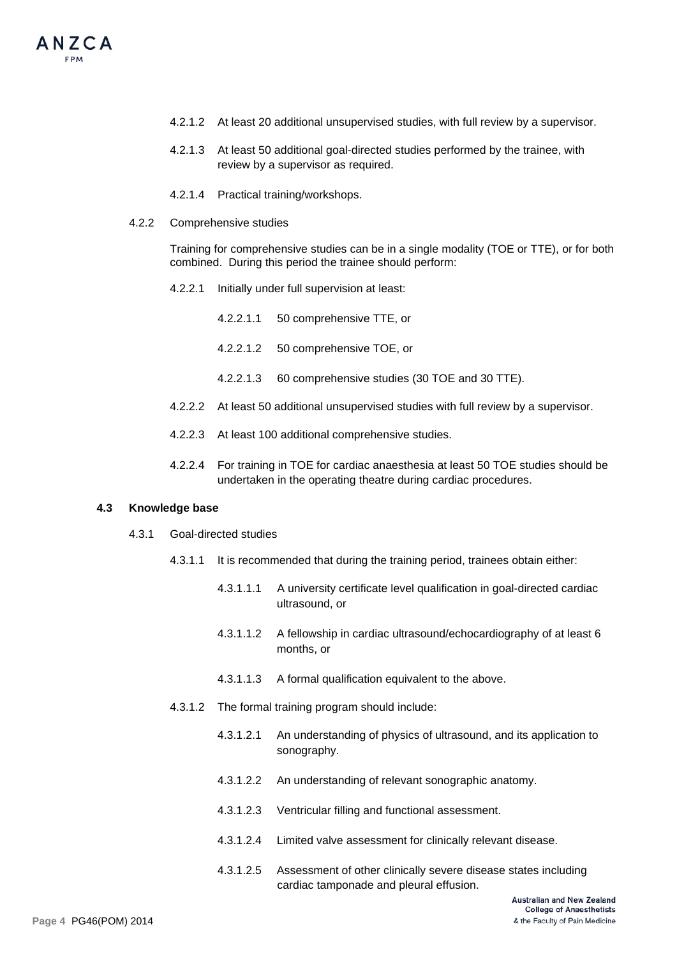- 4.2.1.2 At least 20 additional unsupervised studies, with full review by a supervisor.
- 4.2.1.3 At least 50 additional goal-directed studies performed by the trainee, with review by a supervisor as required.
- 4.2.1.4 Practical training/workshops.
- 4.2.2 Comprehensive studies

Training for comprehensive studies can be in a single modality (TOE or TTE), or for both combined. During this period the trainee should perform:

- 4.2.2.1 Initially under full supervision at least:
	- 4.2.2.1.1 50 comprehensive TTE, or
	- 4.2.2.1.2 50 comprehensive TOE, or
	- 4.2.2.1.3 60 comprehensive studies (30 TOE and 30 TTE).
- 4.2.2.2 At least 50 additional unsupervised studies with full review by a supervisor.
- 4.2.2.3 At least 100 additional comprehensive studies.
- 4.2.2.4 For training in TOE for cardiac anaesthesia at least 50 TOE studies should be undertaken in the operating theatre during cardiac procedures.

## **4.3 Knowledge base**

- 4.3.1 Goal-directed studies
	- 4.3.1.1 It is recommended that during the training period, trainees obtain either:
		- 4.3.1.1.1 A university certificate level qualification in goal-directed cardiac ultrasound, or
		- 4.3.1.1.2 A fellowship in cardiac ultrasound/echocardiography of at least 6 months, or
		- 4.3.1.1.3 A formal qualification equivalent to the above.
	- 4.3.1.2 The formal training program should include:
		- 4.3.1.2.1 An understanding of physics of ultrasound, and its application to sonography.
		- 4.3.1.2.2 An understanding of relevant sonographic anatomy.
		- 4.3.1.2.3 Ventricular filling and functional assessment.
		- 4.3.1.2.4 Limited valve assessment for clinically relevant disease.
		- 4.3.1.2.5 Assessment of other clinically severe disease states including cardiac tamponade and pleural effusion.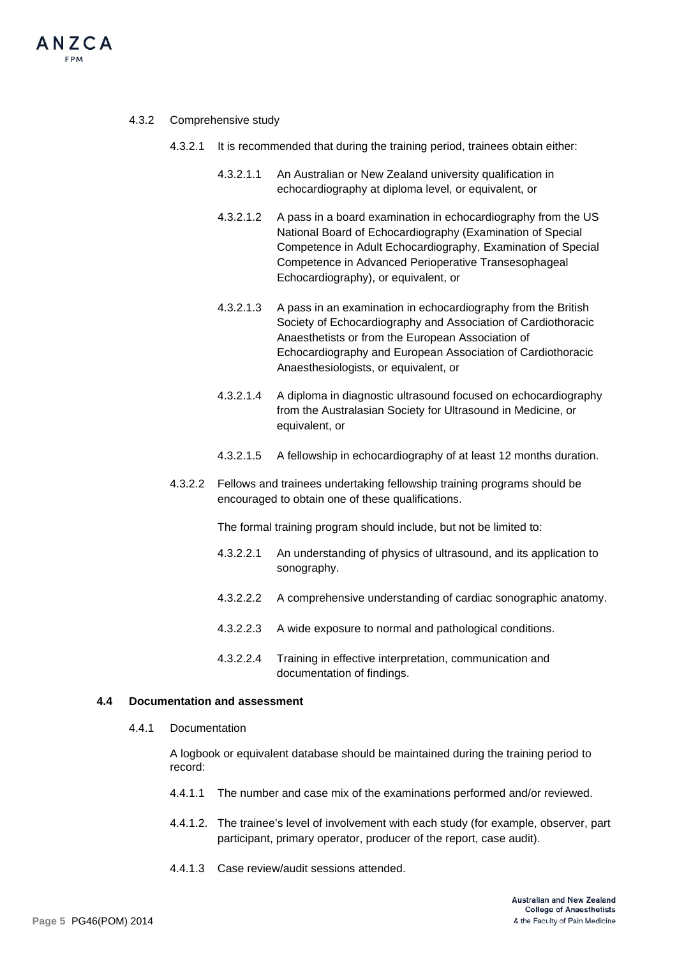

#### 4.3.2 Comprehensive study

- 4.3.2.1 It is recommended that during the training period, trainees obtain either:
	- 4.3.2.1.1 An Australian or New Zealand university qualification in echocardiography at diploma level, or equivalent, or
	- 4.3.2.1.2 A pass in a board examination in echocardiography from the US National Board of Echocardiography (Examination of Special Competence in Adult Echocardiography, Examination of Special Competence in Advanced Perioperative Transesophageal Echocardiography), or equivalent, or
	- 4.3.2.1.3 A pass in an examination in echocardiography from the British Society of Echocardiography and Association of Cardiothoracic Anaesthetists or from the European Association of Echocardiography and European Association of Cardiothoracic Anaesthesiologists, or equivalent, or
	- 4.3.2.1.4 A diploma in diagnostic ultrasound focused on echocardiography from the Australasian Society for Ultrasound in Medicine, or equivalent, or
	- 4.3.2.1.5 A fellowship in echocardiography of at least 12 months duration.
- 4.3.2.2 Fellows and trainees undertaking fellowship training programs should be encouraged to obtain one of these qualifications.

The formal training program should include, but not be limited to:

- 4.3.2.2.1 An understanding of physics of ultrasound, and its application to sonography.
- 4.3.2.2.2 A comprehensive understanding of cardiac sonographic anatomy.
- 4.3.2.2.3 A wide exposure to normal and pathological conditions.
- 4.3.2.2.4 Training in effective interpretation, communication and documentation of findings.

#### **4.4 Documentation and assessment**

4.4.1 Documentation

A logbook or equivalent database should be maintained during the training period to record:

- 4.4.1.1 The number and case mix of the examinations performed and/or reviewed.
- 4.4.1.2. The trainee's level of involvement with each study (for example, observer, part participant, primary operator, producer of the report, case audit).
- 4.4.1.3 Case review/audit sessions attended.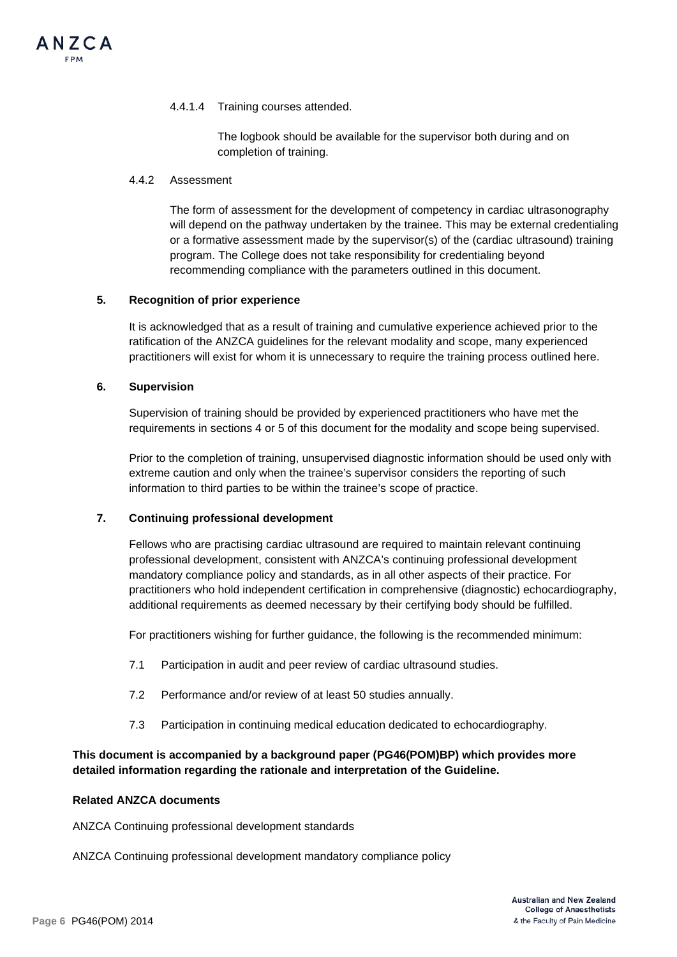#### 4.4.1.4 Training courses attended.

The logbook should be available for the supervisor both during and on completion of training.

#### 4.4.2 Assessment

The form of assessment for the development of competency in cardiac ultrasonography will depend on the pathway undertaken by the trainee. This may be external credentialing or a formative assessment made by the supervisor(s) of the (cardiac ultrasound) training program. The College does not take responsibility for credentialing beyond recommending compliance with the parameters outlined in this document.

#### **5. Recognition of prior experience**

It is acknowledged that as a result of training and cumulative experience achieved prior to the ratification of the ANZCA guidelines for the relevant modality and scope, many experienced practitioners will exist for whom it is unnecessary to require the training process outlined here.

## **6. Supervision**

Supervision of training should be provided by experienced practitioners who have met the requirements in sections 4 or 5 of this document for the modality and scope being supervised.

Prior to the completion of training, unsupervised diagnostic information should be used only with extreme caution and only when the trainee's supervisor considers the reporting of such information to third parties to be within the trainee's scope of practice.

## **7. Continuing professional development**

Fellows who are practising cardiac ultrasound are required to maintain relevant continuing professional development, consistent with ANZCA's continuing professional development mandatory compliance policy and standards, as in all other aspects of their practice. For practitioners who hold independent certification in comprehensive (diagnostic) echocardiography, additional requirements as deemed necessary by their certifying body should be fulfilled.

For practitioners wishing for further guidance, the following is the recommended minimum:

- 7.1 Participation in audit and peer review of cardiac ultrasound studies.
- 7.2 Performance and/or review of at least 50 studies annually.
- 7.3 Participation in continuing medical education dedicated to echocardiography.

## **This document is accompanied by a background paper (PG46(POM)BP) which provides more detailed information regarding the rationale and interpretation of the Guideline.**

#### **Related ANZCA documents**

ANZCA Continuing professional development standards

ANZCA Continuing professional development mandatory compliance policy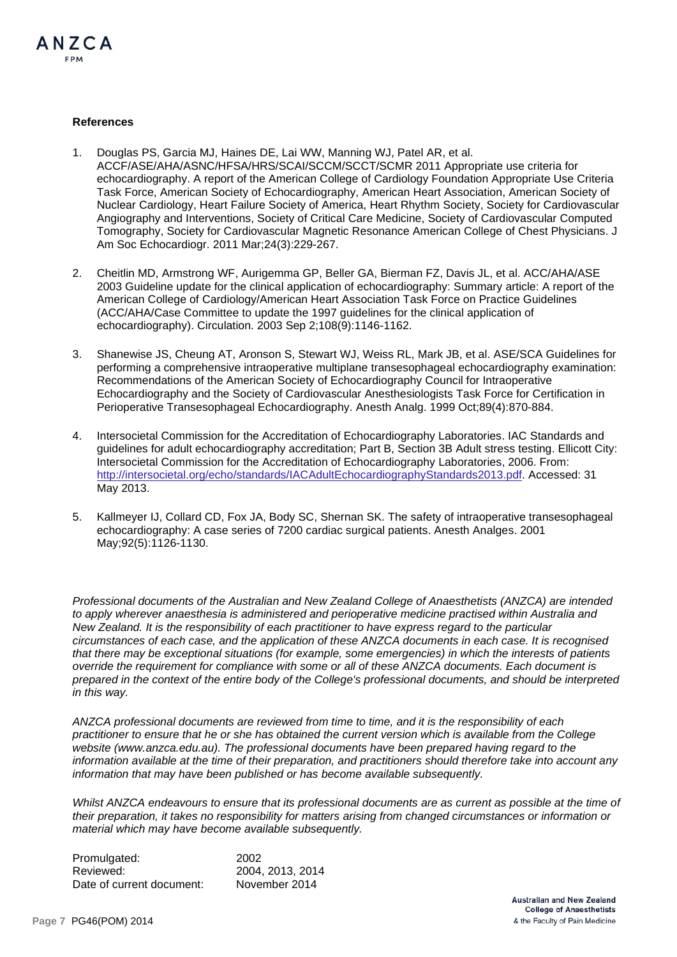

#### **References**

- 1. Douglas PS, Garcia MJ, Haines DE, Lai WW, Manning WJ, Patel AR, et al. ACCF/ASE/AHA/ASNC/HFSA/HRS/SCAI/SCCM/SCCT/SCMR 2011 Appropriate use criteria for echocardiography. A report of the American College of Cardiology Foundation Appropriate Use Criteria Task Force, American Society of Echocardiography, American Heart Association, American Society of Nuclear Cardiology, Heart Failure Society of America, Heart Rhythm Society, Society for Cardiovascular Angiography and Interventions, Society of Critical Care Medicine, Society of Cardiovascular Computed Tomography, Society for Cardiovascular Magnetic Resonance American College of Chest Physicians. J Am Soc Echocardiogr. 2011 Mar;24(3):229-267.
- 2. Cheitlin MD, Armstrong WF, Aurigemma GP, Beller GA, Bierman FZ, Davis JL, et al. ACC/AHA/ASE 2003 Guideline update for the clinical application of echocardiography: Summary article: A report of the American College of Cardiology/American Heart Association Task Force on Practice Guidelines (ACC/AHA/Case Committee to update the 1997 guidelines for the clinical application of echocardiography). Circulation. 2003 Sep 2;108(9):1146-1162.
- 3. Shanewise JS, Cheung AT, Aronson S, Stewart WJ, Weiss RL, Mark JB, et al. ASE/SCA Guidelines for performing a comprehensive intraoperative multiplane transesophageal echocardiography examination: Recommendations of the American Society of Echocardiography Council for Intraoperative Echocardiography and the Society of Cardiovascular Anesthesiologists Task Force for Certification in Perioperative Transesophageal Echocardiography. Anesth Analg. 1999 Oct;89(4):870-884.
- 4. Intersocietal Commission for the Accreditation of Echocardiography Laboratories. IAC Standards and guidelines for adult echocardiography accreditation; Part B, Section 3B Adult stress testing. Ellicott City: Intersocietal Commission for the Accreditation of Echocardiography Laboratories, 2006. From: [http://intersocietal.org/echo/standards/IACAdultEchocardiographyStandards2013.pdf.](http://intersocietal.org/echo/standards/IACAdultEchocardiographyStandards2013.pdf) Accessed: 31 May 2013.
- 5. Kallmeyer IJ, Collard CD, Fox JA, Body SC, Shernan SK. The safety of intraoperative transesophageal echocardiography: A case series of 7200 cardiac surgical patients. Anesth Analges. 2001 May;92(5):1126-1130.

*Professional documents of the Australian and New Zealand College of Anaesthetists (ANZCA) are intended to apply wherever anaesthesia is administered and perioperative medicine practised within Australia and New Zealand. It is the responsibility of each practitioner to have express regard to the particular circumstances of each case, and the application of these ANZCA documents in each case. It is recognised that there may be exceptional situations (for example, some emergencies) in which the interests of patients override the requirement for compliance with some or all of these ANZCA documents. Each document is prepared in the context of the entire body of the College's professional documents, and should be interpreted in this way.*

*ANZCA professional documents are reviewed from time to time, and it is the responsibility of each practitioner to ensure that he or she has obtained the current version which is available from the College website [\(www.anzca.edu.au\)](http://www.anzca.edu.au/). The professional documents have been prepared having regard to the information available at the time of their preparation, and practitioners should therefore take into account any information that may have been published or has become available subsequently.*

*Whilst ANZCA endeavours to ensure that its professional documents are as current as possible at the time of their preparation, it takes no responsibility for matters arising from changed circumstances or information or material which may have become available subsequently.*

| Promulgated:              | 2002             |
|---------------------------|------------------|
| Reviewed:                 | 2004, 2013, 2014 |
| Date of current document: | November 2014    |